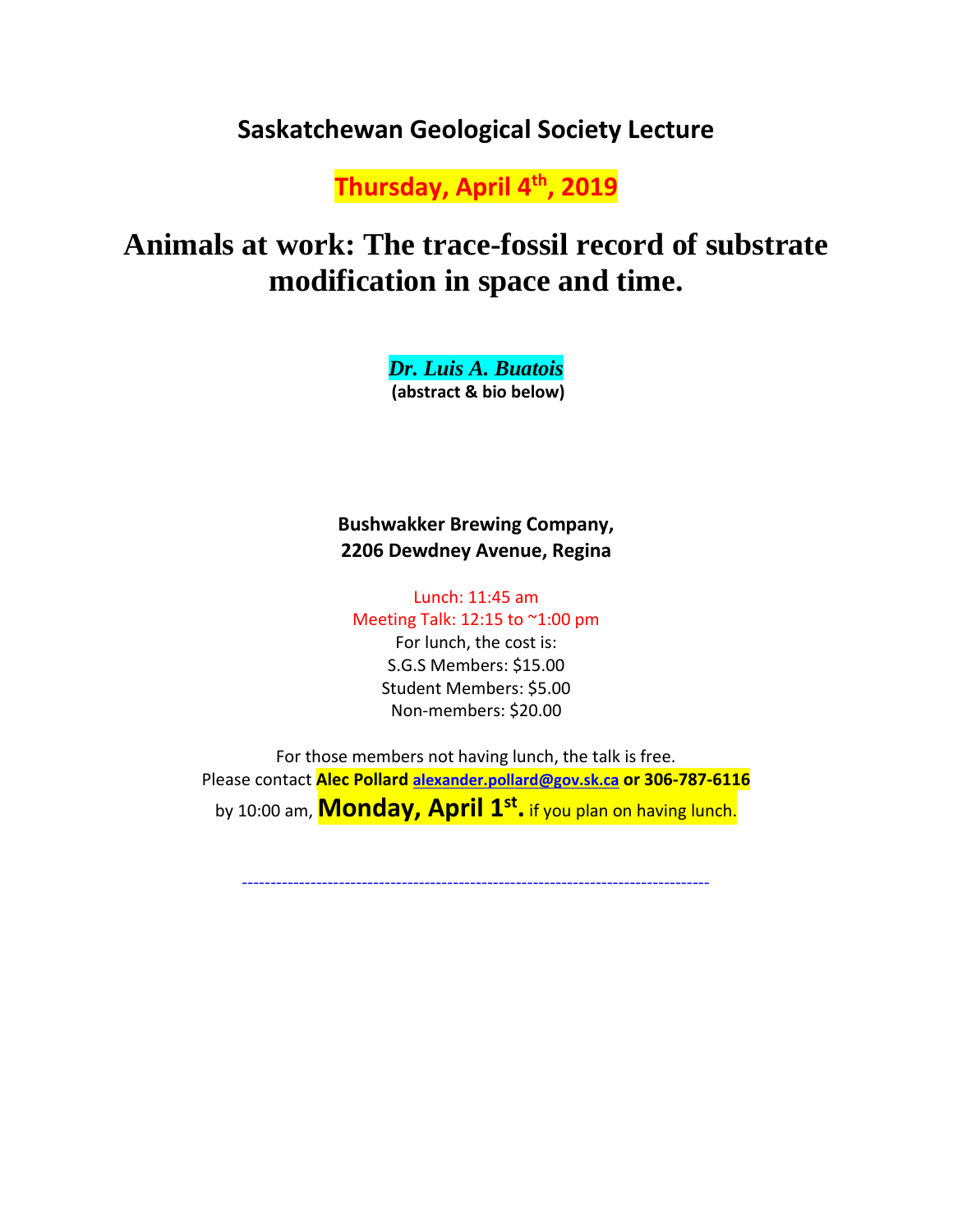## **Saskatchewan Geological Society Lecture**

**Thursday, April 4th, 2019**

# **Animals at work: The trace-fossil record of substrate modification in space and time.**

*Dr. Luis A. Buatois* **(abstract & bio below)** 

**Bushwakker Brewing Company, 2206 Dewdney Avenue, Regina**

Lunch: 11:45 am Meeting Talk: 12:15 to ~1:00 pm

> For lunch, the cost is: S.G.S Members: \$15.00 Student Members: \$5.00 Non-members: \$20.00

For those members not having lunch, the talk is free. Please contact **Alec Pollard [alexander.pollard@gov.sk.ca](mailto:alexander.pollard@gov.sk.ca) or 306-787-6116** by 10:00 am, **Monday, April 1st .** if you plan on having lunch.

----------------------------------------------------------------------------------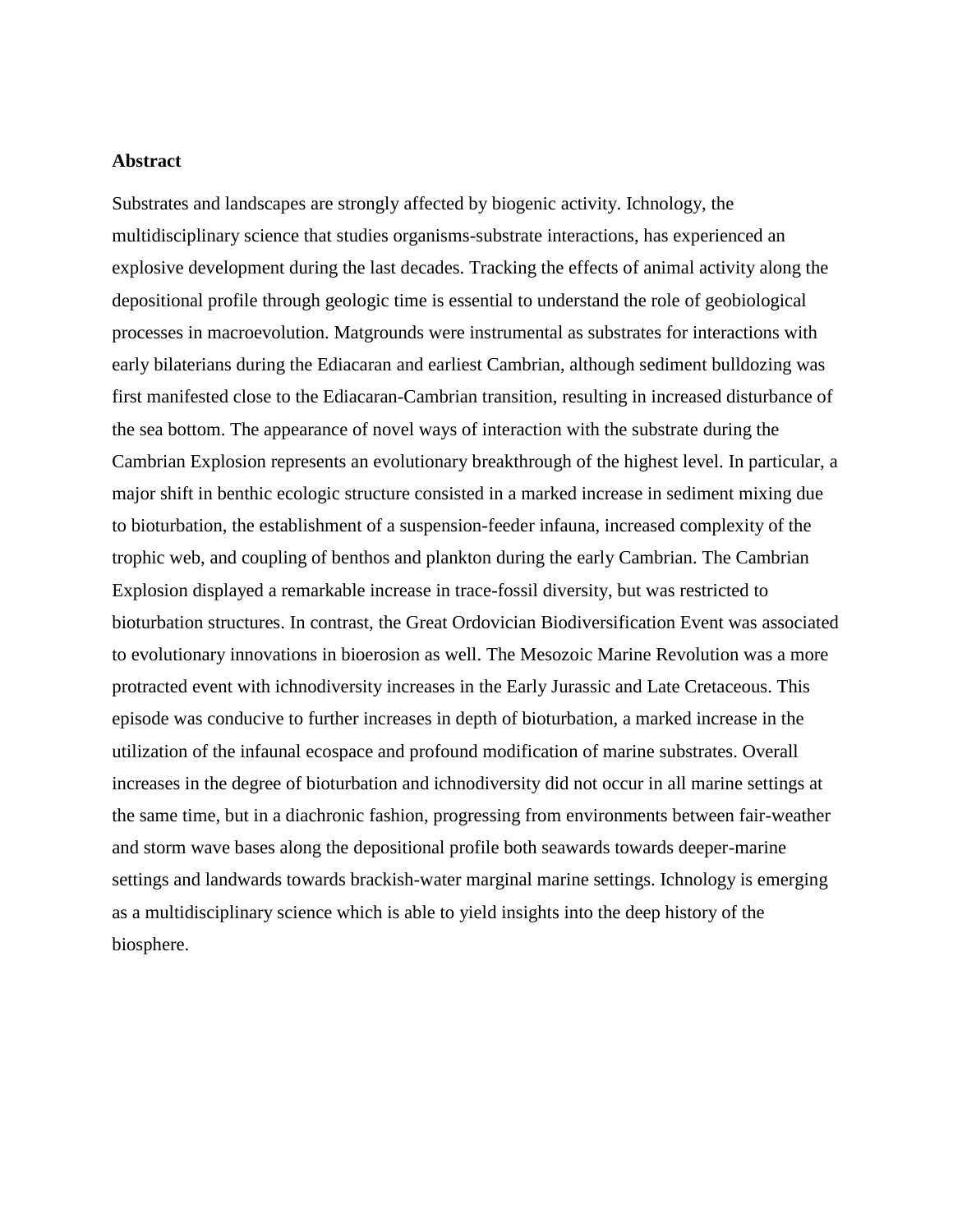#### **Abstract**

Substrates and landscapes are strongly affected by biogenic activity. Ichnology, the multidisciplinary science that studies organisms-substrate interactions, has experienced an explosive development during the last decades. Tracking the effects of animal activity along the depositional profile through geologic time is essential to understand the role of geobiological processes in macroevolution. Matgrounds were instrumental as substrates for interactions with early bilaterians during the Ediacaran and earliest Cambrian, although sediment bulldozing was first manifested close to the Ediacaran-Cambrian transition, resulting in increased disturbance of the sea bottom. The appearance of novel ways of interaction with the substrate during the Cambrian Explosion represents an evolutionary breakthrough of the highest level. In particular, a major shift in benthic ecologic structure consisted in a marked increase in sediment mixing due to bioturbation, the establishment of a suspension-feeder infauna, increased complexity of the trophic web, and coupling of benthos and plankton during the early Cambrian. The Cambrian Explosion displayed a remarkable increase in trace-fossil diversity, but was restricted to bioturbation structures. In contrast, the Great Ordovician Biodiversification Event was associated to evolutionary innovations in bioerosion as well. The Mesozoic Marine Revolution was a more protracted event with ichnodiversity increases in the Early Jurassic and Late Cretaceous. This episode was conducive to further increases in depth of bioturbation, a marked increase in the utilization of the infaunal ecospace and profound modification of marine substrates. Overall increases in the degree of bioturbation and ichnodiversity did not occur in all marine settings at the same time, but in a diachronic fashion, progressing from environments between fair-weather and storm wave bases along the depositional profile both seawards towards deeper-marine settings and landwards towards brackish-water marginal marine settings. Ichnology is emerging as a multidisciplinary science which is able to yield insights into the deep history of the biosphere.